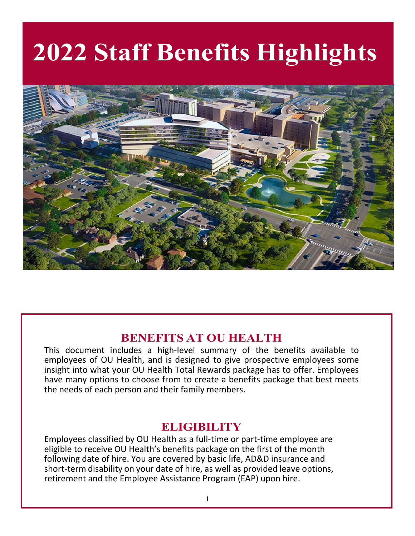# **2022 Staff Benefits Highlights**



# **BENEFITS AT OU HEALTH**

This document includes a high-level summary of the benefits available to employees of OU Health, and is designed to give prospective employees some insight into what your OU Health Total Rewards package has to offer. Employees have many options to choose from to create a benefits package that best meets the needs of each person and their family members.

# **ELIGIBILITY**

Employees classified by OU Health as a full-time or part-time employee are eligible to receive OU Health's benefits package on the first of the month following date of hire. You are covered by basic life, AD&D insurance and short-term disability on your date of hire, as well as provided leave options, retirement and the Employee Assistance Program (EAP) upon hire.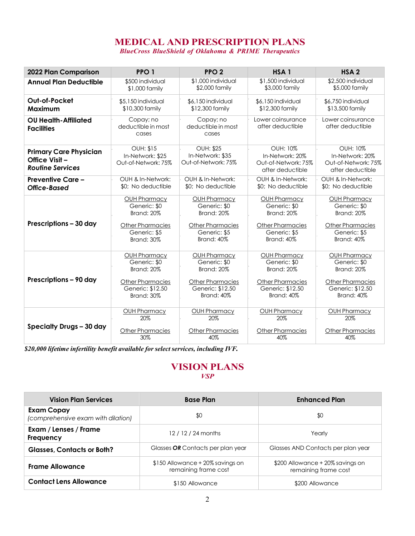# **MEDICAL AND PRESCRIPTION PLANS**

*BlueCross BlueShield of Oklahoma & PRIME Therapeutics*

| 2022 Plan Comparison                                                      | PPO <sub>1</sub>                                            | PPO <sub>2</sub>                                            | HSA <sub>1</sub>                                                              | HSA <sub>2</sub>                                                              |
|---------------------------------------------------------------------------|-------------------------------------------------------------|-------------------------------------------------------------|-------------------------------------------------------------------------------|-------------------------------------------------------------------------------|
| <b>Annual Plan Deductible</b>                                             | \$500 individual                                            | \$1,000 individual                                          | \$1,500 individual                                                            | \$2,500 individual                                                            |
|                                                                           | \$1,000 family                                              | \$2,000 family                                              | \$3,000 family                                                                | \$5,000 family                                                                |
| Out-of-Pocket                                                             | \$5,150 individual                                          | \$6,150 individual                                          | \$6,150 individual                                                            | \$6,750 individual                                                            |
| Maximum                                                                   | \$10,300 family                                             | \$12,300 family                                             | \$12,300 family                                                               | \$13,500 family                                                               |
| <b>OU Health-Affiliated</b><br><b>Facilities</b>                          | Copay; no<br>deductible in most<br>cases                    | Copay; no<br>deductible in most<br>cases                    | Lower coinsurance<br>after deductible                                         | Lower coinsurance<br>after deductible                                         |
| <b>Primary Care Physician</b><br>Office Visit-<br><b>Routine Services</b> | <b>OUH: \$15</b><br>In-Network: \$25<br>Out-of-Network: 75% | <b>OUH: \$25</b><br>In-Network: \$35<br>Out-of-Network: 75% | <b>OUH: 10%</b><br>In-Network: 20%<br>Out-of-Network: 75%<br>after deductible | <b>OUH: 10%</b><br>In-Network: 20%<br>Out-of-Network: 75%<br>after deductible |
| <b>Preventive Care -</b>                                                  | OUH & In-Network:                                           | OUH & In-Network:                                           | OUH & In-Network:                                                             | OUH & In-Network:                                                             |
| Office-Based                                                              | \$0; No deductible                                          | \$0; No deductible                                          | \$0; No deductible                                                            | \$0; No deductible                                                            |
| Prescriptions - 30 day                                                    | OUH Pharmacy                                                | OUH Pharmacy                                                | OUH Pharmacy                                                                  | OUH Pharmacy                                                                  |
|                                                                           | Generic: \$0                                                | Generic: \$0                                                | Generic: \$0                                                                  | Generic: \$0                                                                  |
|                                                                           | <b>Brand: 20%</b>                                           | <b>Brand: 20%</b>                                           | Brand: 20%                                                                    | <b>Brand: 20%</b>                                                             |
|                                                                           | <b>Other Pharmacies</b>                                     | <b>Other Pharmacies</b>                                     | <b>Other Pharmacies</b>                                                       | <b>Other Pharmacies</b>                                                       |
|                                                                           | Generic: \$5                                                | Generic: \$5                                                | Generic: \$5                                                                  | Generic: \$5                                                                  |
|                                                                           | <b>Brand: 30%</b>                                           | <b>Brand: 40%</b>                                           | <b>Brand: 40%</b>                                                             | <b>Brand: 40%</b>                                                             |
| Prescriptions - 90 day                                                    | OUH Pharmacy                                                | OUH Pharmacy                                                | OUH Pharmacy                                                                  | OUH Pharmacy                                                                  |
|                                                                           | Generic: \$0                                                | Generic: \$0                                                | Generic: \$0                                                                  | Generic: \$0                                                                  |
|                                                                           | <b>Brand: 20%</b>                                           | <b>Brand: 20%</b>                                           | Brand: 20%                                                                    | <b>Brand: 20%</b>                                                             |
|                                                                           | <b>Other Pharmacies</b>                                     | <b>Other Pharmacies</b>                                     | <b>Other Pharmacies</b>                                                       | <b>Other Pharmacies</b>                                                       |
|                                                                           | Generic: \$12.50                                            | Generic: \$12.50                                            | Generic: \$12.50                                                              | Generic: \$12.50                                                              |
|                                                                           | <b>Brand: 30%</b>                                           | <b>Brand: 40%</b>                                           | <b>Brand: 40%</b>                                                             | <b>Brand: 40%</b>                                                             |
| Specialty Drugs - 30 day                                                  | <b>OUH Pharmacy</b>                                         | OUH Pharmacy                                                | <b>OUH Pharmacy</b>                                                           | <b>OUH Pharmacy</b>                                                           |
|                                                                           | 20%                                                         | 20%                                                         | 20%                                                                           | 20%                                                                           |
|                                                                           | <b>Other Pharmacies</b>                                     | <b>Other Pharmacies</b>                                     | Other Pharmacies                                                              | Other Pharmacies                                                              |
|                                                                           | 30%                                                         | 40%                                                         | 40%                                                                           | 40%                                                                           |

*\$20,000 lifetime infertility benefit available for select services, including IVF.* 

#### **VISION PLANS** *VSP*

| <b>Vision Plan Services</b>                             | <b>Base Plan</b>                                         | <b>Enhanced Plan</b>                                     |  |  |
|---------------------------------------------------------|----------------------------------------------------------|----------------------------------------------------------|--|--|
| <b>Exam Copay</b><br>(comprehensive exam with dilation) | \$0                                                      | \$0                                                      |  |  |
| Exam / Lenses / Frame<br>Frequency                      | 12/12/24 months                                          | Yearly                                                   |  |  |
| <b>Glasses, Contacts or Both?</b>                       | Glasses OR Contacts per plan year                        | Glasses AND Contacts per plan year                       |  |  |
| <b>Frame Allowance</b>                                  | \$150 Allowance + 20% savings on<br>remaining frame cost | \$200 Allowance + 20% savings on<br>remaining frame cost |  |  |
| <b>Contact Lens Allowance</b>                           | \$150 Allowance                                          | \$200 Allowance                                          |  |  |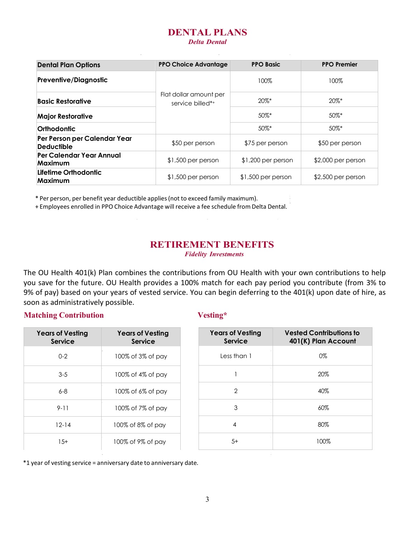# **DENTAL PLANS**

*Delta Dental*

| <b>Dental Plan Options</b>                        | <b>PPO Choice Advantage</b>                | <b>PPO Basic</b>    | <b>PPO Premier</b>  |  |
|---------------------------------------------------|--------------------------------------------|---------------------|---------------------|--|
| <b>Preventive/Diagnostic</b>                      |                                            | 100%                | 100%                |  |
| <b>Basic Restorative</b>                          | Flat dollar amount per<br>service billed*+ | $20\%$ *            | $20\%$ *            |  |
| <b>Major Restorative</b>                          |                                            | $50\%$ *            | 50%*                |  |
| Orthodontic                                       |                                            | $50\%$ *            | 50%*                |  |
| Per Person per Calendar Year<br><b>Deductible</b> | \$50 per person                            | \$75 per person     | \$50 per person     |  |
| Per Calendar Year Annual<br>Maximum               | $$1,500$ per person                        | $$1,200$ per person | $$2,000$ per person |  |
| Lifetime Orthodontic<br>Maximum                   | $$1,500$ per person                        | $$1,500$ per person | $$2,500$ per person |  |

\* Per person, per benefit year deductible applies(not to exceed family maximum).

+ Employees enrolled in PPO Choice Advantage will receive a fee schedule from Delta Dental.

### **RETIREMENT BENEFITS**

*Fidelity Investments*

The OU Health 401(k) Plan combines the contributions from OU Health with your own contributions to help you save for the future. OU Health provides a 100% match for each pay period you contribute (from 3% to 9% of pay) based on your years of vested service. You can begin deferring to the 401(k) upon date of hire, as soon as administratively possible.

#### **Matching Contribution Vesting\***

| <b>Years of Vesting</b><br><b>Service</b> | <b>Years of Vesting</b><br><b>Service</b> | <b>Years of Vesting</b><br><b>Service</b> | <b>Vested Contributions to</b><br>401(K) Plan Account |
|-------------------------------------------|-------------------------------------------|-------------------------------------------|-------------------------------------------------------|
| $0 - 2$                                   | 100% of 3% of pay                         | Less than 1                               | 0%                                                    |
| $3-5$                                     | 100% of 4% of pay                         |                                           | 20%                                                   |
| $6 - 8$                                   | 100% of 6% of pay                         | $\overline{2}$                            | 40%                                                   |
| $9 - 11$                                  | 100% of 7% of pay                         | 3                                         | 60%                                                   |
| $12 - 14$                                 | 100% of 8% of pay                         | 4                                         | 80%                                                   |
| $15+$                                     | 100% of 9% of pay                         | $5+$                                      | 100%                                                  |

\*1 year of vesting service = anniversary date to anniversary date.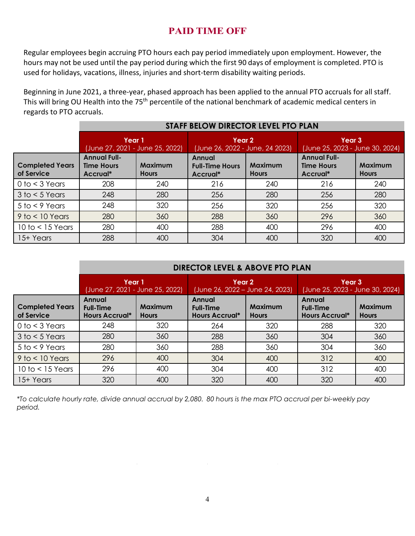## **PAID TIME OFF**

Regular employees begin accruing PTO hours each pay period immediately upon employment. However, the hours may not be used until the pay period during which the first 90 days of employment is completed. PTO is used for holidays, vacations, illness, injuries and short-term disability waiting periods.

Beginning in June 2021, a three-year, phased approach has been applied to the annual PTO accruals for all staff. This will bring OU Health into the 75<sup>th</sup> percentile of the national benchmark of academic medical centers in regards to PTO accruals.

|                                      | STAFF BELOW DIRECTOR LEVEL PTO PLAN                  |                                |                                              |                                |                                                      |                         |
|--------------------------------------|------------------------------------------------------|--------------------------------|----------------------------------------------|--------------------------------|------------------------------------------------------|-------------------------|
|                                      | Year 1<br>(June 27, 2021 - June 25, 2022)            |                                | Year 2<br>(June 26, 2022 - June, 24 2023)    |                                | Year 3<br>(June 25, 2023 - June 30, 2024)            |                         |
| <b>Completed Years</b><br>of Service | <b>Annual Full-</b><br><b>Time Hours</b><br>Accrual* | <b>Maximum</b><br><b>Hours</b> | Annual<br><b>Full-Time Hours</b><br>Accrual* | <b>Maximum</b><br><b>Hours</b> | <b>Annual Full-</b><br><b>Time Hours</b><br>Accrual* | Maximum<br><b>Hours</b> |
| $0$ to $<$ 3 Years                   | 208                                                  | 240                            | 216                                          | 240                            | 216                                                  | 240                     |
| $3$ to $<$ 5 Years                   | 248                                                  | 280                            | 256                                          | 280                            | 256                                                  | 280                     |
| $5$ to $<$ 9 Years                   | 248                                                  | 320                            | 256                                          | 320                            | 256                                                  | 320                     |
| $9$ to $<$ 10 Years                  | 280                                                  | 360                            | 288                                          | 360                            | 296                                                  | 360                     |
| $10$ to $<$ 15 Years                 | 280                                                  | 400                            | 288                                          | 400                            | 296                                                  | 400                     |
| 15+ Years                            | 288                                                  | 400                            | 304                                          | 400                            | 320                                                  | 400                     |

|                                      | <b>DIRECTOR LEVEL &amp; ABOVE PTO PLAN</b>          |                                |                                                     |                                |                                                     |                                |
|--------------------------------------|-----------------------------------------------------|--------------------------------|-----------------------------------------------------|--------------------------------|-----------------------------------------------------|--------------------------------|
|                                      | Year 1<br>(June 27, 2021 - June 25, 2022)           |                                | Year 2<br>(June 26, 2022 – June 24, 2023)           |                                | Year 3<br>(June 25, 2023 - June 30, 2024)           |                                |
| <b>Completed Years</b><br>of Service | Annual<br><b>Full-Time</b><br><b>Hours Accrual*</b> | <b>Maximum</b><br><b>Hours</b> | Annual<br><b>Full-Time</b><br><b>Hours Accrual*</b> | <b>Maximum</b><br><b>Hours</b> | Annual<br><b>Full-Time</b><br><b>Hours Accrual*</b> | <b>Maximum</b><br><b>Hours</b> |
| $0$ to $<$ 3 Years                   | 248                                                 | 320                            | 264                                                 | 320                            | 288                                                 | 320                            |
| $3$ to $<$ 5 Years                   | 280                                                 | 360                            | 288                                                 | 360                            | 304                                                 | 360                            |
| $5$ to $<$ 9 Years                   | 280                                                 | 360                            | 288                                                 | 360                            | 304                                                 | 360                            |
| $9$ to $<$ 10 Years                  | 296                                                 | 400                            | 304                                                 | 400                            | 312                                                 | 400                            |
| $10$ to $< 15$ Years                 | 296                                                 | 400                            | 304                                                 | 400                            | 312                                                 | 400                            |
| 15+ Years                            | 320                                                 | 400                            | 320                                                 | 400                            | 320                                                 | 400                            |

*\*To calculate hourly rate, divide annual accrual by 2,080. 80 hours is the max PTO accrual per bi-weekly pay period.*

 $\sim$ 

 $\sim$